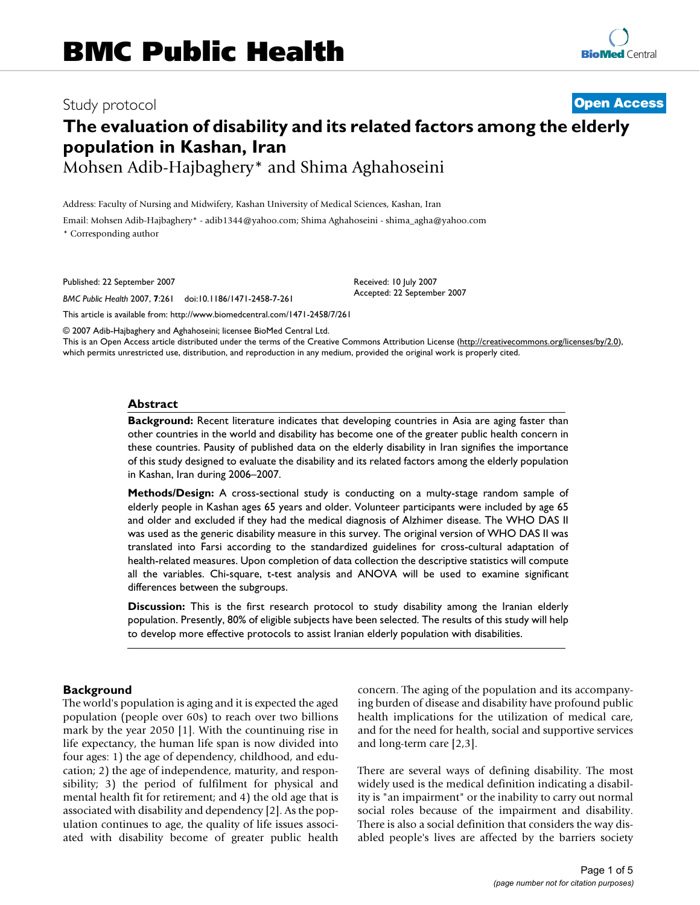# Study protocol **[Open Access](http://www.biomedcentral.com/info/about/charter/)**

# **The evaluation of disability and its related factors among the elderly population in Kashan, Iran**

Mohsen Adib-Hajbaghery\* and Shima Aghahoseini

Address: Faculty of Nursing and Midwifery, Kashan University of Medical Sciences, Kashan, Iran Email: Mohsen Adib-Hajbaghery\* - adib1344@yahoo.com; Shima Aghahoseini - shima\_agha@yahoo.com \* Corresponding author

Published: 22 September 2007

*BMC Public Health* 2007, **7**:261 doi:10.1186/1471-2458-7-261

[This article is available from: http://www.biomedcentral.com/1471-2458/7/261](http://www.biomedcentral.com/1471-2458/7/261)

© 2007 Adib-Hajbaghery and Aghahoseini; licensee BioMed Central Ltd.

This is an Open Access article distributed under the terms of the Creative Commons Attribution License [\(http://creativecommons.org/licenses/by/2.0\)](http://creativecommons.org/licenses/by/2.0), which permits unrestricted use, distribution, and reproduction in any medium, provided the original work is properly cited.

Received: 10 July 2007 Accepted: 22 September 2007

#### **Abstract**

**Background:** Recent literature indicates that developing countries in Asia are aging faster than other countries in the world and disability has become one of the greater public health concern in these countries. Pausity of published data on the elderly disability in Iran signifies the importance of this study designed to evaluate the disability and its related factors among the elderly population in Kashan, Iran during 2006–2007.

**Methods/Design:** A cross-sectional study is conducting on a multy-stage random sample of elderly people in Kashan ages 65 years and older. Volunteer participants were included by age 65 and older and excluded if they had the medical diagnosis of Alzhimer disease. The WHO DAS II was used as the generic disability measure in this survey. The original version of WHO DAS II was translated into Farsi according to the standardized guidelines for cross-cultural adaptation of health-related measures. Upon completion of data collection the descriptive statistics will compute all the variables. Chi-square, t-test analysis and ANOVA will be used to examine significant differences between the subgroups.

**Discussion:** This is the first research protocol to study disability among the Iranian elderly population. Presently, 80% of eligible subjects have been selected. The results of this study will help to develop more effective protocols to assist Iranian elderly population with disabilities.

#### **Background**

The world's population is aging and it is expected the aged population (people over 60s) to reach over two billions mark by the year 2050 [1]. With the countinuing rise in life expectancy, the human life span is now divided into four ages: 1) the age of dependency, childhood, and education; 2) the age of independence, maturity, and responsibility; 3) the period of fulfilment for physical and mental health fit for retirement; and 4) the old age that is associated with disability and dependency [2]. As the population continues to age, the quality of life issues associated with disability become of greater public health concern. The aging of the population and its accompanying burden of disease and disability have profound public health implications for the utilization of medical care, and for the need for health, social and supportive services and long-term care [2,3].

There are several ways of defining disability. The most widely used is the medical definition indicating a disability is "an impairment" or the inability to carry out normal social roles because of the impairment and disability. There is also a social definition that considers the way disabled people's lives are affected by the barriers society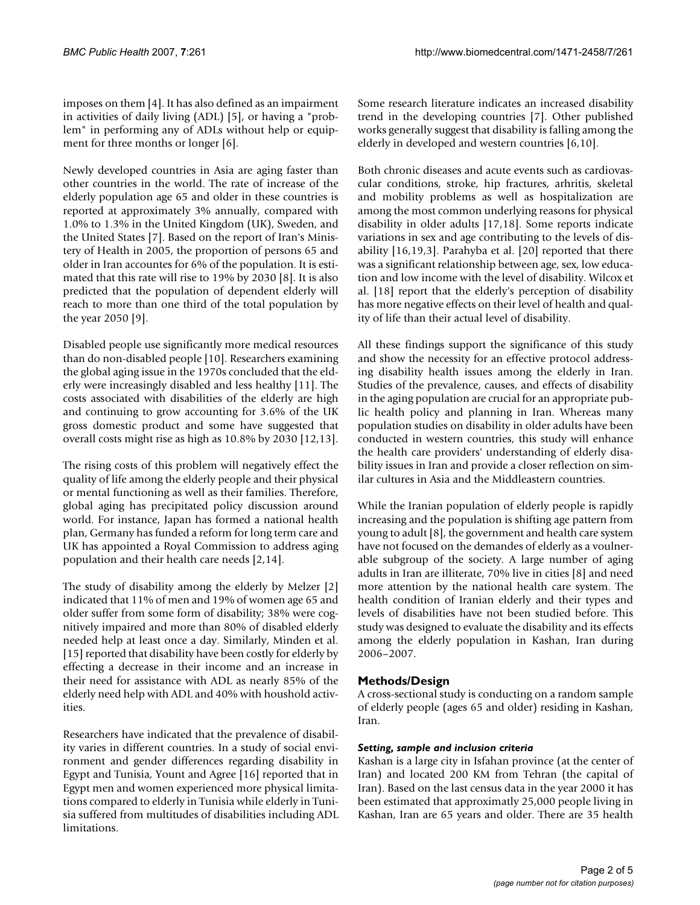imposes on them [4]. It has also defined as an impairment in activities of daily living (ADL) [5], or having a "problem" in performing any of ADLs without help or equipment for three months or longer [6].

Newly developed countries in Asia are aging faster than other countries in the world. The rate of increase of the elderly population age 65 and older in these countries is reported at approximately 3% annually, compared with 1.0% to 1.3% in the United Kingdom (UK), Sweden, and the United States [7]. Based on the report of Iran's Ministery of Health in 2005, the proportion of persons 65 and older in Iran accountes for 6% of the population. It is estimated that this rate will rise to 19% by 2030 [8]. It is also predicted that the population of dependent elderly will reach to more than one third of the total population by the year 2050 [9].

Disabled people use significantly more medical resources than do non-disabled people [10]. Researchers examining the global aging issue in the 1970s concluded that the elderly were increasingly disabled and less healthy [11]. The costs associated with disabilities of the elderly are high and continuing to grow accounting for 3.6% of the UK gross domestic product and some have suggested that overall costs might rise as high as 10.8% by 2030 [12,13].

The rising costs of this problem will negatively effect the quality of life among the elderly people and their physical or mental functioning as well as their families. Therefore, global aging has precipitated policy discussion around world. For instance, Japan has formed a national health plan, Germany has funded a reform for long term care and UK has appointed a Royal Commission to address aging population and their health care needs [2,14].

The study of disability among the elderly by Melzer [2] indicated that 11% of men and 19% of women age 65 and older suffer from some form of disability; 38% were cognitively impaired and more than 80% of disabled elderly needed help at least once a day. Similarly, Minden et al. [15] reported that disability have been costly for elderly by effecting a decrease in their income and an increase in their need for assistance with ADL as nearly 85% of the elderly need help with ADL and 40% with houshold activities.

Researchers have indicated that the prevalence of disability varies in different countries. In a study of social environment and gender differences regarding disability in Egypt and Tunisia, Yount and Agree [16] reported that in Egypt men and women experienced more physical limitations compared to elderly in Tunisia while elderly in Tunisia suffered from multitudes of disabilities including ADL limitations.

Some research literature indicates an increased disability trend in the developing countries [7]. Other published works generally suggest that disability is falling among the elderly in developed and western countries [6,10].

Both chronic diseases and acute events such as cardiovascular conditions, stroke, hip fractures, arhritis, skeletal and mobility problems as well as hospitalization are among the most common underlying reasons for physical disability in older adults [17,18]. Some reports indicate variations in sex and age contributing to the levels of disability [16,19,3]. Parahyba et al. [20] reported that there was a significant relationship between age, sex, low education and low income with the level of disability. Wilcox et al. [18] report that the elderly's perception of disability has more negative effects on their level of health and quality of life than their actual level of disability.

All these findings support the significance of this study and show the necessity for an effective protocol addressing disability health issues among the elderly in Iran. Studies of the prevalence, causes, and effects of disability in the aging population are crucial for an appropriate public health policy and planning in Iran. Whereas many population studies on disability in older adults have been conducted in western countries, this study will enhance the health care providers' understanding of elderly disability issues in Iran and provide a closer reflection on similar cultures in Asia and the Middleastern countries.

While the Iranian population of elderly people is rapidly increasing and the population is shifting age pattern from young to adult [8], the government and health care system have not focused on the demandes of elderly as a voulnerable subgroup of the society. A large number of aging adults in Iran are illiterate, 70% live in cities [8] and need more attention by the national health care system. The health condition of Iranian elderly and their types and levels of disabilities have not been studied before. This study was designed to evaluate the disability and its effects among the elderly population in Kashan, Iran during 2006–2007.

# **Methods/Design**

A cross-sectional study is conducting on a random sample of elderly people (ages 65 and older) residing in Kashan, Iran.

#### *Setting, sample and inclusion criteria*

Kashan is a large city in Isfahan province (at the center of Iran) and located 200 KM from Tehran (the capital of Iran). Based on the last census data in the year 2000 it has been estimated that approximatly 25,000 people living in Kashan, Iran are 65 years and older. There are 35 health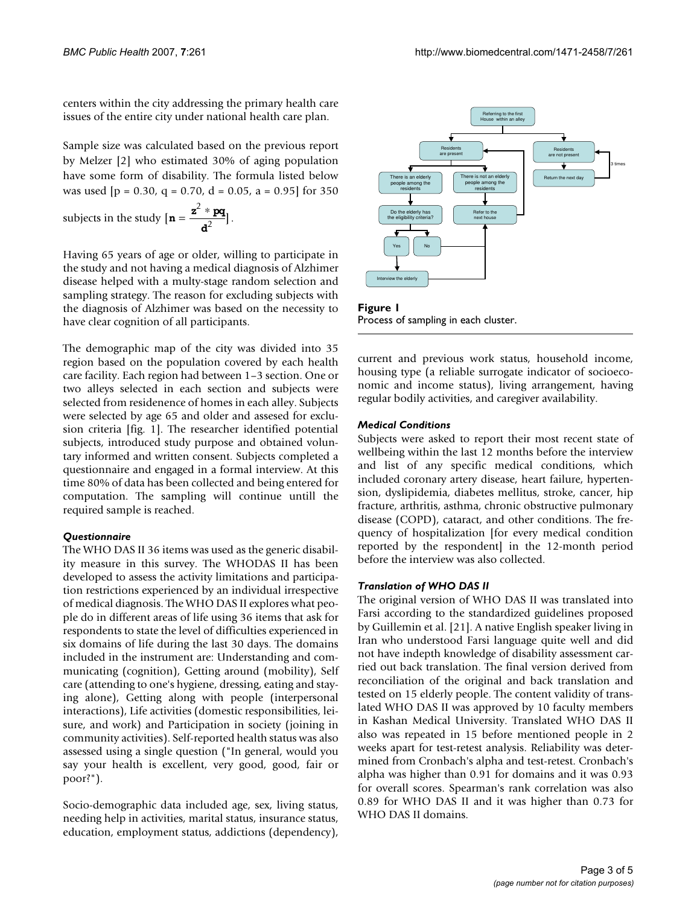centers within the city addressing the primary health care issues of the entire city under national health care plan.

Sample size was calculated based on the previous report by Melzer [2] who estimated 30% of aging population have some form of disability. The formula listed below was used  $[p = 0.30, q = 0.70, d = 0.05, a = 0.95]$  for 350

subjects in the study  $[\mathbf{n} = \frac{\mathbf{z}^2 * \mathbf{p}\mathbf{q}}{\mathbf{d}^2}].$ 

Having 65 years of age or older, willing to participate in the study and not having a medical diagnosis of Alzhimer disease helped with a multy-stage random selection and sampling strategy. The reason for excluding subjects with the diagnosis of Alzhimer was based on the necessity to have clear cognition of all participants.

The demographic map of the city was divided into 35 region based on the population covered by each health care facility. Each region had between 1–3 section. One or two alleys selected in each section and subjects were selected from residenence of homes in each alley. Subjects were selected by age 65 and older and assesed for exclusion criteria [fig. 1]. The researcher identified potential subjects, introduced study purpose and obtained voluntary informed and written consent. Subjects completed a questionnaire and engaged in a formal interview. At this time 80% of data has been collected and being entered for computation. The sampling will continue untill the required sample is reached.

#### *Questionnaire*

The WHO DAS II 36 items was used as the generic disability measure in this survey. The WHODAS II has been developed to assess the activity limitations and participation restrictions experienced by an individual irrespective of medical diagnosis. The WHO DAS II explores what people do in different areas of life using 36 items that ask for respondents to state the level of difficulties experienced in six domains of life during the last 30 days. The domains included in the instrument are: Understanding and communicating (cognition), Getting around (mobility), Self care (attending to one's hygiene, dressing, eating and staying alone), Getting along with people (interpersonal interactions), Life activities (domestic responsibilities, leisure, and work) and Participation in society (joining in community activities). Self-reported health status was also assessed using a single question ("In general, would you say your health is excellent, very good, good, fair or poor?").

Socio-demographic data included age, sex, living status, needing help in activities, marital status, insurance status, education, employment status, addictions (dependency),



**Figure 1** Process of sampling in each cluster.

current and previous work status, household income, housing type (a reliable surrogate indicator of socioeconomic and income status), living arrangement, having regular bodily activities, and caregiver availability.

#### *Medical Conditions*

Subjects were asked to report their most recent state of wellbeing within the last 12 months before the interview and list of any specific medical conditions, which included coronary artery disease, heart failure, hypertension, dyslipidemia, diabetes mellitus, stroke, cancer, hip fracture, arthritis, asthma, chronic obstructive pulmonary disease (COPD), cataract, and other conditions. The frequency of hospitalization [for every medical condition reported by the respondent] in the 12-month period before the interview was also collected.

#### *Translation of WHO DAS II*

The original version of WHO DAS II was translated into Farsi according to the standardized guidelines proposed by Guillemin et al. [21]. A native English speaker living in Iran who understood Farsi language quite well and did not have indepth knowledge of disability assessment carried out back translation. The final version derived from reconciliation of the original and back translation and tested on 15 elderly people. The content validity of translated WHO DAS II was approved by 10 faculty members in Kashan Medical University. Translated WHO DAS II also was repeated in 15 before mentioned people in 2 weeks apart for test-retest analysis. Reliability was determined from Cronbach's alpha and test-retest. Cronbach's alpha was higher than 0.91 for domains and it was 0.93 for overall scores. Spearman's rank correlation was also 0.89 for WHO DAS II and it was higher than 0.73 for WHO DAS II domains.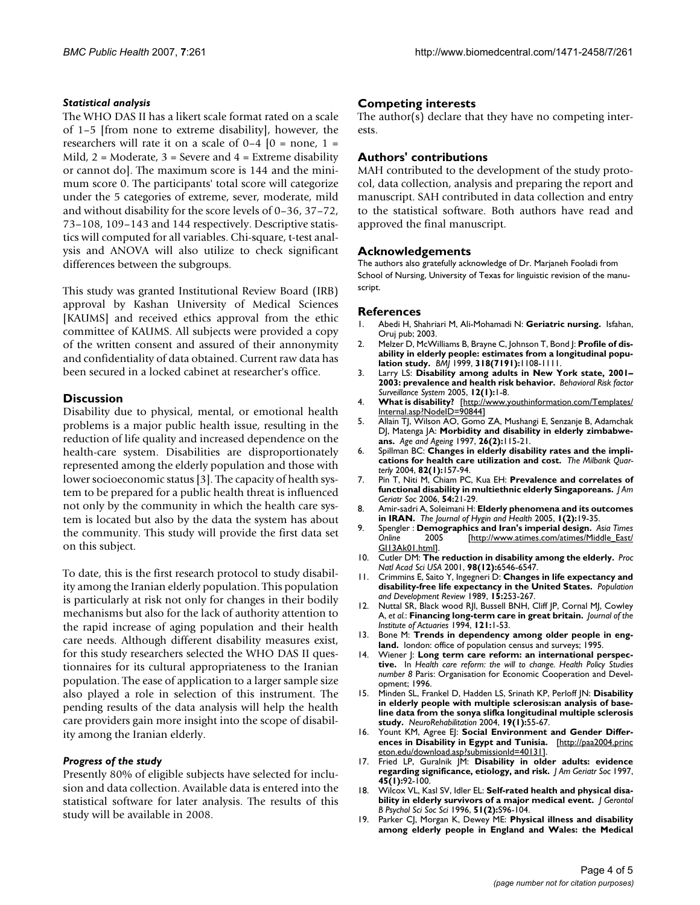#### *Statistical analysis*

The WHO DAS II has a likert scale format rated on a scale of 1–5 [from none to extreme disability], however, the researchers will rate it on a scale of  $0-4$   $[0 = none, 1 =$ Mild,  $2 = \text{Modern}$ ,  $3 = \text{Server}$  and  $4 = \text{Extreme disability}$ or cannot do]. The maximum score is 144 and the minimum score 0. The participants' total score will categorize under the 5 categories of extreme, sever, moderate, mild and without disability for the score levels of 0–36, 37–72, 73–108, 109–143 and 144 respectively. Descriptive statistics will computed for all variables. Chi-square, t-test analysis and ANOVA will also utilize to check significant differences between the subgroups.

This study was granted Institutional Review Board (IRB) approval by Kashan University of Medical Sciences [KAUMS] and received ethics approval from the ethic committee of KAUMS. All subjects were provided a copy of the written consent and assured of their annonymity and confidentiality of data obtained. Current raw data has been secured in a locked cabinet at researcher's office.

## **Discussion**

Disability due to physical, mental, or emotional health problems is a major public health issue, resulting in the reduction of life quality and increased dependence on the health-care system. Disabilities are disproportionately represented among the elderly population and those with lower socioeconomic status [3]. The capacity of health system to be prepared for a public health threat is influenced not only by the community in which the health care system is located but also by the data the system has about the community. This study will provide the first data set on this subject.

To date, this is the first research protocol to study disability among the Iranian elderly population. This population is particularly at risk not only for changes in their bodily mechanisms but also for the lack of authority attention to the rapid increase of aging population and their health care needs. Although different disability measures exist, for this study researchers selected the WHO DAS II questionnaires for its cultural appropriateness to the Iranian population. The ease of application to a larger sample size also played a role in selection of this instrument. The pending results of the data analysis will help the health care providers gain more insight into the scope of disability among the Iranian elderly.

#### *Progress of the study*

Presently 80% of eligible subjects have selected for inclusion and data collection. Available data is entered into the statistical software for later analysis. The results of this study will be available in 2008.

# **Competing interests**

The author(s) declare that they have no competing interests.

# **Authors' contributions**

MAH contributed to the development of the study protocol, data collection, analysis and preparing the report and manuscript. SAH contributed in data collection and entry to the statistical software. Both authors have read and approved the final manuscript.

## **Acknowledgements**

The authors also gratefully acknowledge of Dr. Marjaneh Fooladi from School of Nursing, University of Texas for linguistic revision of the manuscript.

#### **References**

- 1. Abedi H, Shahriari M, Ali-Mohamadi N: **Geriatric nursing.** Isfahan, Oruj pub; 2003.
- 2. Melzer D, McWilliams B, Brayne C, Johnson T, Bond J: **[Profile of dis](http://www.ncbi.nlm.nih.gov/entrez/query.fcgi?cmd=Retrieve&db=PubMed&dopt=Abstract&list_uids=10213718)[ability in elderly people: estimates from a longitudinal popu](http://www.ncbi.nlm.nih.gov/entrez/query.fcgi?cmd=Retrieve&db=PubMed&dopt=Abstract&list_uids=10213718)[lation study.](http://www.ncbi.nlm.nih.gov/entrez/query.fcgi?cmd=Retrieve&db=PubMed&dopt=Abstract&list_uids=10213718)** *BMJ* 1999, **318(7191):**1108-1111.
- 3. Larry LS: **Disability among adults in New York state, 2001– 2003: prevalence and health risk behavior.** *Behavioral Risk factor Surveillance System* 2005, **12(1):**1-8.
- 4. **What is disability?** [\[http://www.youthinformation.com/Templates/](http://www.youthinformation.com/Templates/Internal.asp?NodeID=90844) [Internal.asp?NodeID=90844](http://www.youthinformation.com/Templates/Internal.asp?NodeID=90844)]
- 5. Allain TJ, Wilson AO, Gomo ZA, Mushangi E, Senzanje B, Adamchak DJ, Matenga JA: **Morbidity and disability in elderly zimbabweans.** *Age and Ageing* 1997, **26(2):**115-21.
- 6. Spillman BC: **[Changes in elderly disability rates and the impli](http://www.ncbi.nlm.nih.gov/entrez/query.fcgi?cmd=Retrieve&db=PubMed&dopt=Abstract&list_uids=15016247)[cations for health care utilization and cost.](http://www.ncbi.nlm.nih.gov/entrez/query.fcgi?cmd=Retrieve&db=PubMed&dopt=Abstract&list_uids=15016247)** *The Milbank Quarterly* 2004, **82(1):**157-94.
- 7. Pin T, Niti M, Chiam PC, Kua EH: **[Prevalence and correlates of](http://www.ncbi.nlm.nih.gov/entrez/query.fcgi?cmd=Retrieve&db=PubMed&dopt=Abstract&list_uids=16420194) [functional disability in multiethnic elderly Singaporeans.](http://www.ncbi.nlm.nih.gov/entrez/query.fcgi?cmd=Retrieve&db=PubMed&dopt=Abstract&list_uids=16420194)** *J Am Geriatr Soc* 2006, **54:**21-29.
- 8. Amir-sadri A, Soleimani H: **Elderly phenomena and its outcomes in IRAN.** *The Journal of Hygin and Health* 2005, **1(2):**19-35.
- 9. Spengler : **Demographics and Iran's imperial design.** *Asia Times* [\[http://www.atimes.com/atimes/Middle\\_East/](http://www.atimes.com/atimes/Middle_East/GI13Ak01.html) [GI13Ak01.html](http://www.atimes.com/atimes/Middle_East/GI13Ak01.html)].
- 10. Cutler DM: **[The reduction in disability among the elderly.](http://www.ncbi.nlm.nih.gov/entrez/query.fcgi?cmd=Retrieve&db=PubMed&dopt=Abstract&list_uids=11390991)** *Proc Natl Acad Sci USA* 2001, **98(12):**6546-6547.
- 11. Crimmins E, Saito Y, Ingegneri D: **Changes in life expectancy and disability-free life expectancy in the United States.** *Population and Development Review* 1989, **15:**253-267.
- 12. Nuttal SR, Black wood RJl, Bussell BNH, Cliff JP, Cornal MJ, Cowley A, *et al.*: **Financing long-term care in great britain.** *Journal of the Institute of Actuaries* 1994, **121:**1-53.
- 13. Bone M: **Trends in dependency among older people in england.** london: office of population census and surveys; 1995.
- 14. Wiener J: **Long term care reform: an international perspective.** In *Health care reform: the will to change. Health Policy Studies number 8* Paris: Organisation for Economic Cooperation and Development; 1996.
- 15. Minden SL, Frankel D, Hadden LS, Srinath KP, Perloff JN: **[Disability](http://www.ncbi.nlm.nih.gov/entrez/query.fcgi?cmd=Retrieve&db=PubMed&dopt=Abstract&list_uids=14988588) in elderly people with multiple sclerosis:an analysis of base[line data from the sonya slifka longitudinal multiple sclerosis](http://www.ncbi.nlm.nih.gov/entrez/query.fcgi?cmd=Retrieve&db=PubMed&dopt=Abstract&list_uids=14988588) [study.](http://www.ncbi.nlm.nih.gov/entrez/query.fcgi?cmd=Retrieve&db=PubMed&dopt=Abstract&list_uids=14988588)** *NeuroRehabilitation* 2004, **19(1):**55-67.
- 16. Yount KM, Agree EJ: Social Environment and Gender Differ**ences in Disability in Egypt and Tunisia.** [\[http://paa2004.princ](http://paa2004.princeton.edu/download.asp?submissionId=40131) [eton.edu/download.asp?submissionId=40131\]](http://paa2004.princeton.edu/download.asp?submissionId=40131).
- 17. Fried LP, Guralnik JM: **[Disability in older adults: evidence](http://www.ncbi.nlm.nih.gov/entrez/query.fcgi?cmd=Retrieve&db=PubMed&dopt=Abstract&list_uids=8994496) [regarding significance, etiology, and risk.](http://www.ncbi.nlm.nih.gov/entrez/query.fcgi?cmd=Retrieve&db=PubMed&dopt=Abstract&list_uids=8994496)** *J Am Geriatr Soc* 1997, **45(1):**92-100.
- 18. Wilcox VL, Kasl SV, Idler EL: **[Self-rated health and physical disa](http://www.ncbi.nlm.nih.gov/entrez/query.fcgi?cmd=Retrieve&db=PubMed&dopt=Abstract&list_uids=8785698)[bility in elderly survivors of a major medical event.](http://www.ncbi.nlm.nih.gov/entrez/query.fcgi?cmd=Retrieve&db=PubMed&dopt=Abstract&list_uids=8785698)** *J Gerontol B Psychol Sci Soc Sci* 1996, **51(2):**S96-104.
- 19. Parker CJ, Morgan K, Dewey ME: **Physical illness and disability among elderly people in England and Wales: the Medical**